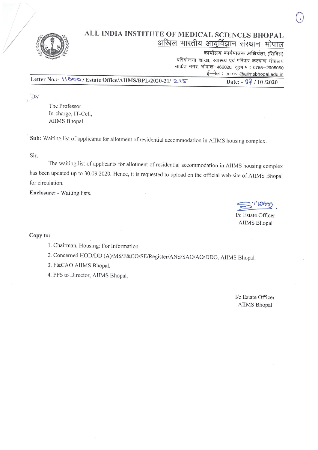

## ALL INDIA INSTITUTE OF MEDICAL SCIENCES BHOPAL अखिल भारतीय आयुर्विज्ञान संस्थान भोपाल

कार्यालय कार्यपालक अभियंता; (सिविल)

परियोजना शाखा, स्वास्थ्य एवं परिवार कल्याण मंत्रालय साकेत नगर, भोपाल-462020, दूरभाष: 0755-2905050 ई-मेल : ee.civil@aiimsbhopal.edu.in

Letter No.:- 11666/Estate Office/AIIMS/BPL/2020-21/215

Date: - 07 / 10/2020

To,

The Professor In-charge, IT-Cell, **AIIMS** Bhopal

Sub: Waiting list of applicants for allotment of residential accommodation in AIIMS housing complex.

Sir,

The waiting list of applicants for allotment of residential accommodation in AIIMS housing complex has been updated up to 30.09.2020. Hence, it is requested to upload on the official web-site of AIIMS Bhopal for circulation.

Enclosure: - Waiting lists.

I/c Estate Officer **AIIMS Bhopal** 

Copy to:

1. Chairman, Housing: For Information.

2. Concerned HOD/DD (A)/MS/F&CO/SE/Register/ANS/SAO/AO/DDO, AIIMS Bhopal.

3. F&CAO AIIMS Bhopal.

4. PPS to Director, AIIMS Bhopal.

I/c Estate Officer **AIIMS Bhopal**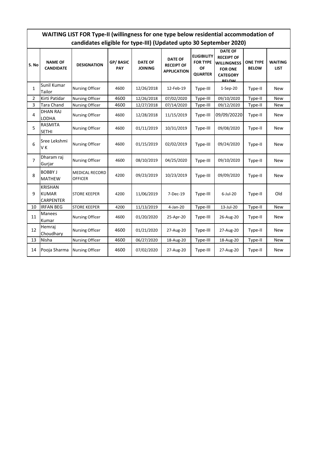| WAITING LIST FOR Type-II (willingness for one type below residential accommodation of |  |  |  |  |  |  |  |  |  |  |  |
|---------------------------------------------------------------------------------------|--|--|--|--|--|--|--|--|--|--|--|
| candidates eligible for type-III) (Updated upto 30 September 2020)                    |  |  |  |  |  |  |  |  |  |  |  |
|                                                                                       |  |  |  |  |  |  |  |  |  |  |  |

| S. No          | <b>NAME OF</b><br><b>CANDIDATE</b>                 | <b>DESIGNATION</b>                      | GP/BASIC<br>PAY | <b>DATE OF</b><br><b>JOINING</b> | <b>DATE OF</b><br><b>RECEIPT OF</b><br><b>APPLICATION</b> | <b>ELIGIBILITY</b><br><b>FOR TYPE</b><br><b>OF</b><br><b>QUARTER</b> | <b>DATE OF</b><br><b>RECEIPT OF</b><br><b>WILLINGNESS</b><br><b>FOR ONE</b><br><b>CATEGORY</b><br><b>RELOW</b> | <b>ONE TYPE</b><br><b>BELOW</b> | <b>WAITING</b><br><b>LIST</b> |
|----------------|----------------------------------------------------|-----------------------------------------|-----------------|----------------------------------|-----------------------------------------------------------|----------------------------------------------------------------------|----------------------------------------------------------------------------------------------------------------|---------------------------------|-------------------------------|
| 1              | Sunil Kumar<br>Tailor                              | <b>Nursing Officer</b>                  | 4600            | 12/26/2018                       | 12-Feb-19                                                 | Type-III                                                             | $1-Sep-20$                                                                                                     | Type-II                         | <b>New</b>                    |
| $\overline{2}$ | Kirti Patidar                                      | <b>Nursing Officer</b>                  | 4600            | 12/26/2018                       | 07/02/2020                                                | Type-III                                                             | 09/10/2020                                                                                                     | Type-II                         | <b>New</b>                    |
| 3              | Tara Chand                                         | <b>Nursing Officer</b>                  | 4600            | 12/27/2018                       | 07/14/2020                                                | Type-III                                                             | 09/12/2020                                                                                                     | Type-II                         | <b>New</b>                    |
| 4              | <b>DHAN RAJ</b><br>LODHA                           | <b>Nursing Officer</b>                  | 4600            | 12/28/2018                       | 11/15/2019                                                | Type-III                                                             | 09/09/20220                                                                                                    | Type-II                         | New                           |
| 5              | <b>RASMITA</b><br><b>SETHI</b>                     | <b>Nursing Officer</b>                  | 4600            | 01/11/2019                       | 10/31/2019                                                | Type-III                                                             | 09/08/2020                                                                                                     | Type-II                         | <b>New</b>                    |
| 6              | Sree Lekshmi<br>VK                                 | <b>Nursing Officer</b>                  | 4600            | 01/15/2019                       | 02/02/2019                                                | Type-III                                                             | 09/24/2020                                                                                                     | Type-II                         | <b>New</b>                    |
| 7              | Dharam raj<br>Gurjar                               | <b>Nursing Officer</b>                  | 4600            | 08/10/2019                       | 04/25/2020                                                | Type-III                                                             | 09/10/2020                                                                                                     | Type-II                         | <b>New</b>                    |
| 8              | <b>BOBBY J</b><br><b>MATHEW</b>                    | <b>MEDICAL RECORD</b><br><b>OFFICER</b> |                 | 09/23/2019                       | 10/23/2019                                                | Type-III                                                             | 09/09/2020                                                                                                     | Type-II                         | <b>New</b>                    |
| 9              | <b>KRISHAN</b><br><b>KUMAR</b><br><b>CARPENTER</b> | <b>STORE KEEPER</b>                     | 4200            | 11/06/2019                       | 7-Dec-19                                                  | Type-III                                                             | $6$ -Jul-20                                                                                                    | Type-II                         | Old                           |
| 10             | <b>IRFAN BEG</b>                                   | <b>STORE KEEPER</b>                     | 4200            | 11/13/2019                       | 4-Jan-20                                                  | Type-III                                                             | 13-Jul-20                                                                                                      | Type-II                         | <b>New</b>                    |
| 11             | Manees<br>Kumar                                    | <b>Nursing Officer</b>                  | 4600            | 01/20/2020                       | 25-Apr-20                                                 | Type-III                                                             | 26-Aug-20                                                                                                      | Type-II                         | <b>New</b>                    |
| 12             | Hemraj<br>Choudhary                                | <b>Nursing Officer</b>                  | 4600            | 01/21/2020                       | 27-Aug-20                                                 | Type-III                                                             | 27-Aug-20                                                                                                      | Type-II                         | <b>New</b>                    |
| 13             | Nisha                                              | <b>Nursing Officer</b>                  | 4600            | 06/27/2020                       | 18-Aug-20                                                 | Type-III                                                             | 18-Aug-20                                                                                                      | Type-II                         | New                           |
| 14             | Pooja Sharma                                       | <b>Nursing Officer</b>                  | 4600            | 07/02/2020                       | 27-Aug-20                                                 | Type-III                                                             | 27-Aug-20                                                                                                      | Type-II                         | <b>New</b>                    |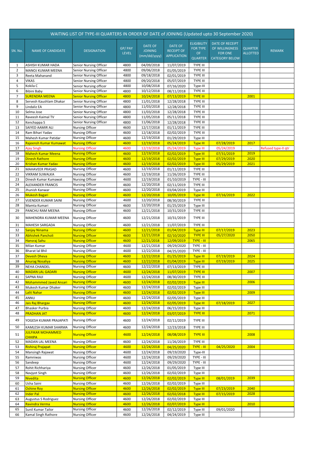| WAITING LIST OF TYPE-III QUARTERS IN ORDER OF DATE of JOINING (Updated upto 30 September 2020) |                                                      |                                                  |                        |                                           |                                                    |                                                               |                                                                                     |                                   |                     |  |
|------------------------------------------------------------------------------------------------|------------------------------------------------------|--------------------------------------------------|------------------------|-------------------------------------------|----------------------------------------------------|---------------------------------------------------------------|-------------------------------------------------------------------------------------|-----------------------------------|---------------------|--|
| SN. No.                                                                                        | <b>NAME OF CANDIDATE</b>                             | <b>DESIGNATION</b>                               | GP/PAY<br><b>LEVEL</b> | DATE OF<br><b>JOINING</b><br>(mm/dd/yyyy) | DATE OF<br><b>RECEIPT OF</b><br><b>APPLICATION</b> | <b>ELIGIBILITY</b><br><b>FOR TYPE</b><br>OF<br><b>QUARTER</b> | <b>DATE OF RECEIPT</b><br>OF WILLINGNESS<br><b>FOR ONE</b><br><b>CATEGORY BELOW</b> | <b>QUARTER</b><br><b>ALLOTTED</b> | <b>REMARK</b>       |  |
| 1                                                                                              | ASHISH KUMAR HADA                                    | Senior Nursing Officer                           | 4800                   | 04/09/2018                                | 11/07/2019                                         | <b>TYPE III</b>                                               |                                                                                     |                                   |                     |  |
| $\overline{2}$<br>3                                                                            | MANOJ KUMAR MEENA<br>Reeta Mahanand                  | Senior Nursing Officer<br>Senior Nursing Officer | 4800<br>4800           | 09/06/2018<br>09/18/2018                  | 01/05/2019<br>02/01/2019                           | <b>TYPE III</b><br>TYPE III                                   |                                                                                     |                                   |                     |  |
| $\overline{4}$                                                                                 | <b>VIKAS</b>                                         | Senior Nursing Officer                           | 4800                   | 09/20/2018                                | 05/07/2019                                         | TYPE III                                                      |                                                                                     |                                   |                     |  |
| 5                                                                                              | Kokila C                                             | Senior Nursing officer                           | 4800                   | 10/08/2018                                | 07/16/2020                                         | Type-III                                                      |                                                                                     |                                   |                     |  |
| 6                                                                                              | Bibini Baby                                          | Senior Nursing Officer                           | 4800                   | 10/12/2018                                | 08/11/2018                                         | <b>TYPE III</b>                                               |                                                                                     |                                   |                     |  |
| $\overline{7}$                                                                                 | <mark>SURENDRA MEENA</mark>                          | <b>Senior Nursing Officer</b>                    | 4800                   | 10/24/2018                                | 07/13/2019                                         | <b>TYPE III</b>                                               |                                                                                     | 2001                              |                     |  |
| 8                                                                                              | Servesh Kaushlam Dhakar                              | Senior Nursing Officer                           | 4800                   | 11/01/2018                                | 12/28/2018                                         | <b>TYPE III</b>                                               |                                                                                     |                                   |                     |  |
| 9                                                                                              | Lindaliz EA                                          | Senior Nursing Officer                           | 4800                   | 11/03/2018                                | 12/28/2018                                         | TYPE III                                                      |                                                                                     |                                   |                     |  |
| 10                                                                                             | Selma Jose                                           | Senior Nursing Officer                           | 4800                   | 11/03/2018                                | 12/28/2018                                         | <b>TYPE III</b>                                               |                                                                                     |                                   |                     |  |
| 11                                                                                             | Raveesh Kaimal TV                                    | Senior Nursing Officer                           | 4800                   | 11/05/2018                                | 05/11/2018                                         | TYPE III                                                      |                                                                                     |                                   |                     |  |
| 12                                                                                             | Kenchappa S                                          | Senior Nursing Officer                           | 4800                   | 11/06/2018<br>12/17/2018                  | 12/28/2018<br>01/11/2019                           | TYPE III<br>TYPE III                                          |                                                                                     |                                   |                     |  |
| 13<br>14                                                                                       | SAIYED AAMIR ALI<br>Ram Bihari Yadav                 | Nursing Officer<br><b>Nursing Officer</b>        | 4600<br>4600           | 12/18/2018                                | 02/02/2019                                         | <b>TYPE III</b>                                               |                                                                                     |                                   |                     |  |
| 15                                                                                             | Mahesh Kumar Patidar                                 | <b>Nursing Officer</b>                           | 4600                   | 12/19/2018                                | 01/29/2019                                         | Type III                                                      |                                                                                     |                                   |                     |  |
| 16                                                                                             | Rajeensh Kumar Kumawat                               | <b>Nursing Officer</b>                           | 4600                   | 12/19/2018                                | 05/24/2019                                         | <b>Type III</b>                                               | 07/28/2019                                                                          | 2017                              |                     |  |
| 17                                                                                             | <b>Ajay Singh</b>                                    | <b>Nursing Officer</b>                           | 4600                   | 12/19/2018                                | 05/24/2019                                         | <b>Type III</b>                                               | 05/24/2019                                                                          | $\sim$                            | Refused type-II qtr |  |
| 18                                                                                             | <b>Mahesh Kumar Meena</b>                            | <b>Nursing Officer</b>                           | 4600                   | 12/19/2018                                | 02/02/2019                                         | <b>Type III</b>                                               | 07/31/2019                                                                          | 2019                              |                     |  |
| 19                                                                                             | <b>Dinesh Rathore</b>                                | <b>Nursing Officer</b>                           | 4600                   | 12/19/2018                                | 02/02/2019                                         | <b>Type III</b>                                               | 07/29/2019                                                                          | 2020                              |                     |  |
| 20                                                                                             | <mark>Krishan Kumar Yadav</mark>                     | <b>Nursing Officer</b>                           | 4600                   | 12/19/2018                                | 02/02/2019                                         | <b>Type III</b>                                               | 05/29/2019                                                                          | 2021                              |                     |  |
| 21                                                                                             | MAHAVEER PRASAD                                      | <b>Nursing Officer</b>                           | 4600                   | 12/19/2018                                | 01/11/2019                                         | TYPE III                                                      |                                                                                     |                                   |                     |  |
| 22                                                                                             | <b>VIKRAM SUWALKA</b>                                | <b>Nursing Officer</b>                           | 4600                   | 12/19/2018                                | 11/26/2019                                         | TYPE III                                                      |                                                                                     |                                   |                     |  |
| 23                                                                                             | Dinesh Kumar Kumawat                                 | <b>Nursing Officer</b>                           | 4600                   | 12/19/2018                                | 01/10/2019                                         | TYPE - III                                                    |                                                                                     |                                   |                     |  |
| 24<br>25                                                                                       | <b>ALEXANDER FRANCIS</b><br>Jhunish Kanwar           | <b>Nursing Officer</b><br><b>Nursing Officer</b> | 4600<br>4600           | 12/20/2018<br>12/20/2018                  | 02/11/2019<br>03/04/2019                           | TYPE III<br>Type III                                          |                                                                                     |                                   |                     |  |
| 26                                                                                             | <b>Mukesh Bagari</b>                                 | <b>Nursing Officer</b>                           | 4600                   | 12/20/2018                                | 10/05/2019                                         | <b>Type III</b>                                               | 07/16/2019                                                                          | 2022                              |                     |  |
| 27                                                                                             | VIJENDER KUMAR SAINI                                 | <b>Nursing Officer</b>                           | 4600                   | 12/20/2018                                | 08/30/2019                                         | <b>TYPE III</b>                                               |                                                                                     |                                   |                     |  |
| 28                                                                                             | Mamta Kumari                                         | <b>Nursing Officer</b>                           | 4600                   | 12/20/2018                                | 01/25/2019                                         | Type III                                                      |                                                                                     |                                   |                     |  |
| 29                                                                                             | PANCHU RAM MEENA                                     | <b>Nursing Officer</b>                           | 4600                   | 12/21/2018                                | 10/31/2019                                         | TYPE III                                                      |                                                                                     |                                   |                     |  |
| 30                                                                                             | MAHENDRA KUMAR MEENA                                 | Nursing Officer                                  | 4600                   | 12/21/2018                                | 10/31/2019                                         | TYPE III                                                      |                                                                                     |                                   |                     |  |
|                                                                                                |                                                      |                                                  |                        |                                           |                                                    |                                                               |                                                                                     |                                   |                     |  |
| 31<br>32                                                                                       | <b>MAHESH SARGADA</b>                                | <b>Nursing Officer</b><br><b>Nursing Officer</b> | 4600<br>4600           | 12/21/2018<br>12/21/2018                  | 11/07/2019<br>01/04/2019                           | TYPE III                                                      | 07/17/2019                                                                          | 2023                              |                     |  |
| 33                                                                                             | Sanjay Ninama<br>Abhishek Pancholi                   | <b>Nursing Officer</b>                           | 4600                   | 12/21/2018                                | 02/10/2020                                         | <b>Type III</b><br><b>TYPE III</b>                            | 05/27/2020                                                                          | 2050                              |                     |  |
| 34                                                                                             | <mark>Hansraj Sahu</mark>                            | <b>Nursing Officer</b>                           | 4600                   | 12/21/2018                                | 12/09/2019                                         | <b>TYPE - III</b>                                             |                                                                                     | 2065                              |                     |  |
| 35                                                                                             | Milan Kumar                                          | <b>Nursing Officer</b>                           | 4600                   | 12/21/2018                                | 09/29/2020                                         | TYPE - III                                                    |                                                                                     |                                   |                     |  |
| 36                                                                                             | <b>Bharat lal Bhil</b>                               | <b>Nursing Officer</b>                           | 4600                   | 12/22/2018                                | 04/25/2020                                         | TYPE - III                                                    |                                                                                     |                                   |                     |  |
| 37                                                                                             | <b>Devesh Dheva</b>                                  | <b>Nursing Officer</b>                           | 4600                   | 12/22/2018                                | 01/25/2019                                         | <b>Type III</b>                                               | 07/19/2019                                                                          | 2024                              |                     |  |
| 38                                                                                             | <b>Anurag Nosaliya</b>                               | <b>Nursing Officer</b>                           | 4600                   | 12/22/2018                                | 01/04/2019                                         | <b>Type III</b>                                               | 07/19/2019                                                                          | 2025                              |                     |  |
| 39                                                                                             | <b>NEHA CHANDEL</b>                                  | <b>Nursing Officer</b>                           | 4600                   | 12/22/2018                                | 07/13/2019                                         | TYPE III                                                      |                                                                                     |                                   |                     |  |
| 40                                                                                             | <b>MADAN LAL GADARI</b>                              | <b>Nursing Officer</b>                           | 4600                   | 12/24/2018                                | 11/07/2019                                         | <b>TYPE III</b>                                               |                                                                                     | 2007                              |                     |  |
| 41                                                                                             | <b>SAPNA RAJI</b>                                    | <b>Nursing Officer</b>                           | 4600                   | 12/24/2018                                | 08/30/2019                                         | TYPE III                                                      |                                                                                     |                                   |                     |  |
| 42<br>43                                                                                       | <b>Mohammmed Javed Ansari</b><br>Mukesh Kumar Dhaker | <b>Nursing Officer</b><br><b>Nursing Officer</b> | 4600<br>4600           | 12/24/2018<br>12/24/2018                  | 02/02/2019<br>02/02/2019                           | <b>Type III</b><br>Type III                                   |                                                                                     | 2006                              |                     |  |
| 44                                                                                             | Lalit Nahar                                          | <b>Nursing Officer</b>                           | 4600                   | 12/24/2018                                | 02/02/2019                                         | <b>Type III</b>                                               |                                                                                     | 2009                              |                     |  |
| 45                                                                                             | ANNU                                                 | <b>Nursing Officer</b>                           | 4600                   | 12/24/2018                                | 02/05/2019                                         | Type III                                                      |                                                                                     |                                   |                     |  |
| 46                                                                                             | Jais Raj Bhargav                                     | <b>Nursing Officer</b>                           | 4600                   | 12/24/2018                                | 02/05/2019                                         | <b>Type III</b>                                               | 07/18/2019                                                                          | 2027                              |                     |  |
| 47                                                                                             | Bhasker Purbia                                       | <b>Nursing Officer</b>                           | 4600                   | 12/24/2018                                | 06/15/2019                                         | Type III                                                      |                                                                                     |                                   |                     |  |
| 48                                                                                             | <b>PRADHAN JAT</b>                                   | <b>Nursing Officer</b>                           | 4600                   | 12/24/2018                                | 03/07/2019                                         | <b>TYPE III</b>                                               |                                                                                     | 2071                              |                     |  |
| 49                                                                                             | YOGESH KUMAR PRAJAPATI                               | Nursing Officer                                  | 4600                   | 12/24/2018                                | 02/11/2019                                         | TYPE III                                                      |                                                                                     |                                   |                     |  |
| 50                                                                                             | KAMLESH KUMAR SHARMA                                 | <b>Nursing Officer</b>                           | 4600                   | 12/24/2018                                | 12/23/2018                                         | TYPE III                                                      |                                                                                     |                                   |                     |  |
|                                                                                                | <b>JULFIKAR MOHAMMED</b>                             |                                                  |                        |                                           |                                                    |                                                               |                                                                                     |                                   |                     |  |
| 51                                                                                             | CHHIPA                                               | <b>Nursing Officer</b>                           | 4600                   | 12/24/2018                                | 08/08/2019                                         | <b>TYPE III</b>                                               |                                                                                     | 2008                              |                     |  |
| 52                                                                                             | MADAN LAL MEENA                                      | Nursing Officer                                  | 4600                   | 12/24/2018                                | 11/26/2019                                         | TYPE III                                                      |                                                                                     |                                   |                     |  |
| 53                                                                                             | Rishiraj Prajapat                                    | <b>Nursing Officer</b>                           | 4600                   | 12/24/2018                                | 04/25/2020                                         | <b>TYPE - III</b>                                             | 04/25/2020                                                                          | 2004                              |                     |  |
| 54                                                                                             | Mansingh Rajawat                                     | <b>Nursing Officer</b>                           | 4600                   | 12/24/2018                                | 09/19/2020                                         | Type-III                                                      |                                                                                     |                                   |                     |  |
| 55<br>56                                                                                       | Ramniwas<br>Sandeep                                  | <b>Nursing Officer</b><br>Nursing Officer        | 4600<br>4600           | 12/24/2018<br>12/24/2018                  | 09/29/2020<br>09/29/2020                           | TYPE - III<br>TYPE - III                                      |                                                                                     |                                   |                     |  |
| 57                                                                                             | Rohit Richhariya                                     | <b>Nursing Officer</b>                           | 4600                   | 12/26/2018                                | 01/05/2019                                         | Type III                                                      |                                                                                     |                                   |                     |  |
| 58                                                                                             | Navjyot Singh                                        | <b>Nursing Officer</b>                           | 4600                   | 12/26/2018                                | 02/02/2019                                         | Type III                                                      |                                                                                     |                                   |                     |  |
| 59                                                                                             | Nivedita                                             | <b>Nursing Officer</b>                           | 4600                   | 12/26/2018                                | 02/02/2019                                         | <b>Type III</b>                                               | 08/01/2019                                                                          | 2039                              |                     |  |
| 60                                                                                             | Usha Saini                                           | <b>Nursing Officer</b>                           | 4600                   | 12/26/2018                                | 02/02/2019                                         | Type III                                                      |                                                                                     |                                   |                     |  |
| 61                                                                                             | Oshine Roy                                           | <b>Nursing Officer</b>                           | 4600                   | 12/26/2018                                | 02/02/2019                                         | <b>Type III</b>                                               | 07/23/2019                                                                          | 2040                              |                     |  |
| 62                                                                                             | <b>Inder Pal</b>                                     | <b>Nursing Officer</b>                           | 4600                   | 12/26/2018                                | 02/02/2018                                         | <b>Type III</b>                                               | 07/15/2019                                                                          | 2028                              |                     |  |
| 63                                                                                             | Augustus S Rodriguez                                 | Nursing Officer                                  | 4600                   | 12/26/2018                                | 02/02/2019                                         | Type III                                                      |                                                                                     |                                   |                     |  |
| 64                                                                                             | Ravindra Verma                                       | <b>Nursing Officer</b>                           | 4600                   | 12/26/2018                                | 02/07/2019                                         | <b>Type III</b>                                               |                                                                                     | 2010                              |                     |  |
| 65                                                                                             | Sunil Kumar Tailor                                   | Nursing Officer                                  | 4600                   | 12/26/2018                                | 02/12/2019                                         | Type III                                                      | 09/01/2020                                                                          |                                   |                     |  |
| 66                                                                                             | Kamal Singh Rathore                                  | <b>Nursing Officer</b>                           | 4600                   | 12/26/2018                                | 04/24/2019                                         | Type III                                                      |                                                                                     |                                   |                     |  |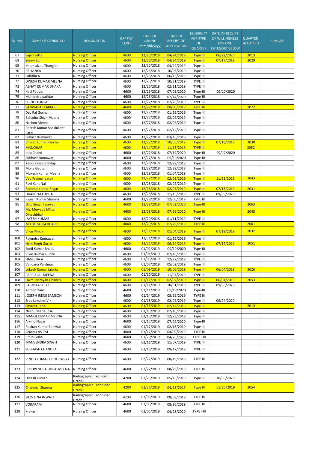|            |                                          |                                                  | GP/PAY       | <b>DATE OF</b>                 | <b>DATE OF</b>                          | <b>ELIGIBILITY</b><br><b>FOR TYPE</b> | <b>DATE OF RECEIPT</b><br>OF WILLINGNESS | <b>QUARTER</b>  |               |
|------------|------------------------------------------|--------------------------------------------------|--------------|--------------------------------|-----------------------------------------|---------------------------------------|------------------------------------------|-----------------|---------------|
| SN. No.    | <b>NAME OF CANDIDATE</b>                 | <b>DESIGNATION</b>                               | <b>LEVEL</b> | <b>JOINING</b><br>(mm/dd/yyyy) | <b>RECEIPT OF</b><br><b>APPLICATION</b> | OF<br><b>QUARTER</b>                  | <b>FOR ONE</b><br><b>CATEGORY BELOW</b>  | <b>ALLOTTED</b> | <b>REMARK</b> |
| 67         | Sajan Setta                              | <b>Nursing Officer</b>                           | 4600         | 12/26/2018                     | 04/24/2019                              | <b>Type III</b>                       | 06/22/2020                               | 2013            |               |
| 68         | Sunny Soni                               | <b>Nursing Officer</b>                           | 4600         | 12/26/2018                     | 04/24/2019                              | <b>Type III</b>                       | 07/17/2019                               | 2029            |               |
| 69<br>70   | Khumlalzou Thanglet                      | <b>Nursing Officer</b><br><b>Nursing Officer</b> | 4600<br>4600 | 12/26/2018                     | 04/24/2019                              | Type III                              |                                          |                 |               |
| 71         | PRIYANKA<br>Sabitha A                    | Nursing Officer                                  | 4600         | 12/26/2018<br>12/26/2018       | 10/05/2019<br>06/13/2019                | Type III<br>Type III                  |                                          |                 |               |
| 72         | DINESH KUMAR MEENA                       | <b>Nursing Officer</b>                           | 4600         | 12/26/2018                     | 10/31/2019                              | <b>TYPE III</b>                       |                                          |                 |               |
| 73         | ABHAY KUMAR DHAKA                        | <b>Nursing Officer</b>                           | 4600         | 12/26/2018                     | 02/11/2019                              | TYPE III                              |                                          |                 |               |
| 74         | Kirti Patidar                            | <b>Nursing Officer</b>                           | 4600         | 12/26/2018                     | 07/02/2020                              | Type-III                              | 09/10/2020                               |                 |               |
| 75         | Mahendra patidar                         | <b>Nursing Officer</b>                           | 4600         | 12/26/2018                     | 07/14/2020                              | Type-III                              |                                          |                 |               |
| 76         | SURJEETSINGH                             | <b>Nursing Officer</b>                           | 4600         | 12/27/2018                     | 07/26/2019                              | TYPE III                              |                                          |                 |               |
| 77         | <b>SANWARA DHAKARR</b>                   | <b>Nursing Officer</b>                           | 4600         | 12/27/2018                     | 08/30/2019                              | <b>TYPE III</b>                       |                                          | 2072            |               |
| 78         | Dev Raj Gochar                           | <b>Nursing Officer</b>                           | 4600         | 12/27/2018                     | 01/29/2019                              | Type III                              |                                          |                 |               |
| 79         | <b>Bahadur Singh Meena</b>               | <b>Nursing Officer</b>                           | 4600         | 12/27/2018                     | 02/02/2019                              | Type III                              |                                          |                 |               |
| 80         | Hariom Menna                             | <b>Nursing Officer</b>                           | 4600         | 12/27/2018                     | 02/02/2019                              | Type III                              |                                          |                 |               |
| 81         | Pritesh Kumar Shashikant<br>Patel        | <b>Nursing Officer</b>                           | 4600         | 12/27/2018                     | 02/12/2019                              | Type III                              |                                          |                 |               |
| 82         | Subash Kumawat                           | <b>Nursing Officer</b>                           | 4600         | 12/27/2018                     | 03/15/2019                              | Type III                              |                                          |                 |               |
| 83         | <b>Bharat Kumar Panchal</b>              | <b>Nursing Officer</b>                           | 4600         | 12/27/2018                     | 10/05/2019                              | <b>Type III</b>                       | 07/18/2019                               | 2030            |               |
| 84         | <b>MANOHAR</b>                           | <b>Nursing Officer</b>                           | 4600         | 12/27/2018                     | 11/15/2019                              | <b>TYPE III</b>                       |                                          | 2052            |               |
| 85         | tara Chand                               | Nursing Officer                                  | 4600         | 12/27/2018                     | 07/14/2020                              | Type-III                              | 09/12/2020                               |                 |               |
| 86         | Subhash kumawat                          | <b>Nursing Officer</b>                           | 4600         | 12/27/2018                     | 09/19/2020                              | Type-III                              |                                          |                 |               |
| 87         | Kendre Geeta Balaji                      | <b>Nursing Officer</b>                           | 4600         | 12/28/2018                     | 12/29/2018                              | Type III                              |                                          |                 |               |
| 88         | Mona Gautam                              | <b>Nursing Officer</b>                           | 4600         | 12/28/2018                     | 12/29/2018                              | Type III                              |                                          |                 |               |
| 89         | Mukesh Kumar Meena                       | Nursing Officer                                  | 4600         | 12/28/2018                     | 01/04/2019                              | Type III                              |                                          |                 |               |
| 90         | <b>Ved Prakesh Jatav</b>                 | <b>Nursing Officer</b>                           | 4600         | 12/28/2018                     | 02/02/2019                              | <b>Type III</b>                       | 11/21/2019                               | 2043            |               |
| 91<br>92   | Ravi Kant Nai                            | <b>Nursing Officer</b>                           | 4600         | 12/28/2018                     | 02/02/2019                              | Type III                              |                                          |                 |               |
| 93         | Ramesh Kumar Regar<br>DHAN RAJ LODHA     | <b>Nursing Officer</b><br><b>Nursing Officer</b> | 4600<br>4600 | 12/28/2018<br>12/28/2018       | 02/07/2019<br>11/15/2019                | <b>Type III</b><br>TYPE III           | 07/15/2019<br>09/09/2020                 | 2031            |               |
| 94         | Rajesh Kumar Sharma                      | <b>Nursing Officer</b>                           | 4600         | 12/28/2018                     | 12/06/2019                              | <b>TYPE III</b>                       |                                          |                 |               |
| 95         | Dilip Singh Rajawat                      | <b>Nursing Officer</b>                           | 4600         | 12/28/2018                     | 07/02/2020                              | Type-III                              |                                          | 2063            |               |
| 96         | Ms. Mewada Mittal<br>Dineshbhai          | <b>Nursing Officer</b>                           | 4600         | 12/28/2018                     | 07/16/2020                              | Type-III                              |                                          | 2048            |               |
| 97         | JAYESH KUMAR                             | <b>Nursing Officer</b>                           | 4600         | 12/29/2018                     | 01/11/2019                              | <b>TYPE III</b>                       |                                          |                 |               |
| 98         | MITHLESH PATIDARR                        | <b>Nursing Officer</b>                           | 4600         | 12/29/2018                     | 07/29/2019                              | <b>TYPE III</b>                       |                                          | 2061            |               |
| 99         | <mark>Vikas Khichi</mark>                | <b>Nursing Officer</b>                           | 4600         | 12/31/2018                     | 01/04/2019                              | <b>Type III</b>                       | 07/19/2019                               | 2032            |               |
| 100        | Rajendra Kumawat                         | Nursing Officer                                  | 4600         | 12/31/2018                     | 01/29/2019                              | Type III                              |                                          |                 |               |
| 101        | Hem Singh Gurjar                         | <b>Nursing Officer</b>                           | 4600         | 12/31/2018                     | 06/14/2019                              | <b>Type III</b>                       | 07/17/2019                               | 2051            |               |
| 102        | Sunil Kumar Bhadu                        | Nursing Officer                                  | 4600         | 01/02/2019                     | 09/19/2020                              | Type-III                              |                                          |                 |               |
| 103        | Vikas Kumar Gupta                        | <b>Nursing Officer</b>                           | 4600         | 01/04/2019                     | 02/16/2019                              | Type III                              |                                          |                 |               |
| 104        | HASEENA A                                | <b>Nursing Officer</b>                           | 4600         | 01/05/2019                     | 12/27/2019                              | TYPE III                              |                                          |                 |               |
| 105        | Vandana Vaishnav                         | <b>Nursing Officer</b>                           | 4600         | 01/07/2019                     | 05/02/2019                              | Type III                              |                                          |                 |               |
| 106<br>107 | Lokesh Kumar Jajoria                     | <b>Nursing Officer</b><br>Nursing Officer        | 4600         | 01/09/2019<br>01/10/2019       | 10/06/2019                              | Type III                              | 06/04/2019                               | <u> 2026</u>    |               |
| 108        | PAPPU LAL MEENA<br>Laxmi Narayan Ghanchi | <b>Nursing Officer</b>                           | 4600<br>4600 | 01/11/2019                     | 11/07/2019<br>02/02/2019                | TYPE III<br><b>Type III</b>           | 06/04/2019                               | 2053            |               |
| 109        | RASMITA SETHI                            | Nursing Officer                                  | 4600         | 01/11/2019                     | 10/31/2019                              | TYPE III                              | 09/08/2020                               |                 |               |
| 110        | Ahmed Yaar                               | Nursing Officer                                  | 4600         | 01/11/2019                     | 09/19/2020                              | Type-III                              |                                          |                 |               |
| 111        | JOSEPH IRENE SAMSON                      | Nursing Officer                                  | 4600         | 01/14/2019                     | 08/29/2019                              | <b>TYPE III</b>                       |                                          |                 |               |
| 112        | Sree Lekshmi V K                         | Nursing Officer                                  | 4600         | 01/15/2019                     | 02/02/2019                              | Type III                              | 09/24/2020                               |                 |               |
| 113        | Shyama Didel                             | <b>Nursing Officer</b>                           | 4600         | 01/15/2019                     | 02/12/2019                              | <b>Type III</b>                       |                                          | 2014            |               |
| 114        | Neenu Maria Jose                         | Nursing Officer                                  | 4600         | 01/15/2019                     | 02/16/2019                              | Type III                              |                                          |                 |               |
| 115        | MANOJ KUMAR MEENA                        | Nursing Officer                                  | 4600         | 01/15/2019                     | 12/23/2019                              | Type III                              |                                          |                 |               |
| 116        | Arvind Nagar                             | <b>Nursing Officer</b>                           | 4600         | 01/15/2019                     | 07/02/2020                              | Type-III                              |                                          |                 |               |
| 117        | Roshan Kumar Beniwal                     | <b>Nursing Officer</b>                           | 4600         | 01/17/2019                     | 02/16/2019                              | Type III                              |                                          |                 |               |
| 118        | ANAND AS RAJ                             | <b>Nursing Officer</b>                           | 4600         | 01/17/2019                     | 04/09/2019                              | TYPE III                              |                                          |                 |               |
| 119        | Ritun Guha                               | <b>Nursing Officer</b>                           | 4600         | 01/20/2019                     | 04/25/2020                              | TYPE - III                            |                                          |                 |               |
| 120<br>121 | MANVENDRA SINGH<br>SUBHASH CHANDRA       | <b>Nursing Officer</b><br><b>Nursing Officer</b> | 4600<br>4600 | 02/11/2019<br>02/13/2019       | 11/07/2019<br>09/17/2019                | TYPE III<br>TYPE III                  |                                          |                 |               |
| 122        | VINOD KUMAR CHOURASIYA                   | <b>Nursing Officer</b>                           | 4600         | 02/22/2019                     | 08/19/2019                              | TYPE III                              |                                          |                 |               |
| 123        | PUSHPENDRA SINGH MEENA                   | Nursing Officer                                  | 4600         | 02/22/2019                     | 08/29/2019                              | TYPE III                              |                                          |                 |               |
| 124        | Dinesh Kumar                             | Radiographic Tecnician                           | 4200         | 02/23/2019                     | 05/15/2019                              | Type III                              | 10/05/2020                               |                 |               |
| 125        |                                          | Grade I<br>Radiographic Technician               | 4200         |                                |                                         |                                       |                                          | 2054            |               |
|            | Chanchal Sharma                          | Grade I<br>Radiographic Technician               |              | 02/26/2019<br>03/05/2019       | 04/18/2019                              | <b>Type III</b>                       | 05/25/2019                               |                 |               |
| 126        | SILOCHNA INWATI                          | Grade I                                          | 4200         |                                | 08/08/2019                              | TYPE III                              |                                          |                 |               |
| 127        | VORARAM                                  | <b>Nursing Officer</b>                           | 4600         | 03/05/2019                     | 08/30/2019                              | TYPE III                              |                                          |                 |               |
| 128        | Prakash                                  | Nursing Officer                                  | 4600         | 03/05/2019                     | 04/25/2020                              | TYPE - III                            |                                          |                 |               |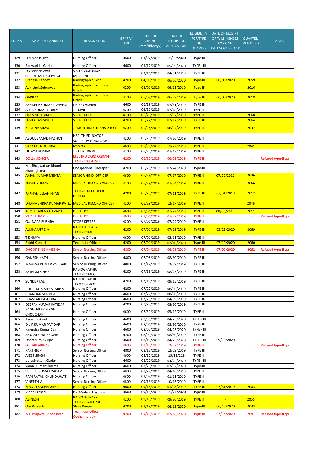| SN. No.    | <b>NAME OF CANDIDATE</b>                         | <b>DESIGNATION</b>                                         | GP/PAY<br><b>LEVEL</b> | <b>DATE OF</b><br><b>JOINING</b><br>(mm/dd/yyyy) | <b>DATE OF</b><br><b>RECEIPT OF</b><br><b>APPLICATION</b> | <b>ELIGIBILITY</b><br><b>FOR TYPE</b><br>OF<br><b>QUARTER</b> | <b>DATE OF RECEIPT</b><br>OF WILLINGNESS<br><b>FOR ONE</b><br><b>CATEGORY BELOW</b> | <b>QUARTER</b><br><b>ALLOTTED</b> | <b>REMARK</b>       |
|------------|--------------------------------------------------|------------------------------------------------------------|------------------------|--------------------------------------------------|-----------------------------------------------------------|---------------------------------------------------------------|-------------------------------------------------------------------------------------|-----------------------------------|---------------------|
| 129        | Himmat Jaiswal                                   | <b>Nursing Officer</b>                                     | 4600                   | 03/07/2019                                       | 09/19/2020                                                | Type-III                                                      |                                                                                     |                                   |                     |
| 130        | Banwari lal Gurjar                               | <b>Nursing Officer</b>                                     | 4600                   | 03/12/2019                                       | 05/09/2020                                                | TYPE - III                                                    |                                                                                     |                                   |                     |
| 131        | DNYANESHWAR<br>SHRIDEHARRAO PATALE               | <b>S R TRANSFUSION</b><br><b>MEDICINE</b>                  |                        | 03/16/2019                                       | 04/01/2019                                                | TYPE III                                                      |                                                                                     |                                   |                     |
| 132        | <b>Pranesh Pandey</b>                            | Radiographic Tech.                                         | 4200                   | 04/03/2019                                       | 06/06/2020                                                | <b>Type-III</b>                                               | 06/06/2020                                                                          | 2059                              |                     |
| 133        | Abhishek Sehrawat                                | Radiographic Technician<br>Grade I                         | 4200                   | 06/01/2019                                       | 06/13/2019                                                | <b>Type III</b>                                               |                                                                                     | 2016                              |                     |
| 134        | <b>GARIMA</b>                                    | Radiographic Technician<br>Grade I                         | 4200                   | 06/03/2019                                       | 06/28/2019                                                | <b>Type III</b>                                               | 06/06/2020                                                                          | 2018                              |                     |
| 135        | SANDEEP KUMAR DWIVEDI                            | <b>CHIEF CASHIER</b>                                       | 4600                   | 06/19/2019                                       | 07/31/2019                                                | <b>TYPE III</b>                                               |                                                                                     |                                   |                     |
| 136<br>137 | <b>ALOK KUMAR DUBEY</b><br><b>OM SINGH BHATI</b> | J E CIVIL<br><b>STORE KEEPER</b>                           | 4200<br>4200           | 06/19/2019<br>06/20/2019                         | 07/18/2019<br>12/07/2019                                  | TYPE III<br><b>TYPE III</b>                                   |                                                                                     | 2068                              |                     |
| 138        | <b>JAS KARAN SINGH</b>                           | <b>STORE KEEPER</b>                                        | 4200                   | 06/22/2019                                       | 07/17/2019                                                | <b>TYPE III</b>                                               |                                                                                     | 2064                              |                     |
| 139        | <b>KRISHNA SHAW</b>                              | <b>JUNIOR HINDI TRANSLATOR</b>                             | 4200                   | 06/24/2019                                       | 08/07/2019                                                | <b>TYPE III</b>                                               |                                                                                     | 2037                              |                     |
| 140        | ABDUL SAMAD HASHMI                               | <b>HEALTH EDUCATOR</b><br>SOICIAL PSYCHOLOGIST             | 4200                   | 06/26/2019                                       | 07/20/2019                                                | <b>TYPE III</b>                                               |                                                                                     |                                   |                     |
| 141        | <b>SANGEETA DHURIA</b>                           | MSS O Gr I                                                 | 4600                   | 06/26/2019                                       | 11/22/2019                                                | <b>TYPE III</b>                                               |                                                                                     | 2041                              |                     |
| 142        | <b>UJJWAL KUMAR</b>                              | J E ELECTRICAL<br><b>ELECTRO CARDIOGRAPH</b>               | 4200                   | 06/27/2019                                       | 07/18/2019                                                | <b>TYPE III</b>                                               |                                                                                     |                                   |                     |
| 143        | <b>DOLLY SONKER</b>                              | <b>TECHNICAL ASSTT</b>                                     | 4200                   | 06/27/2019                                       | 06/09/2019                                                | <b>TYPE III</b>                                               |                                                                                     | ä,                                | Refused type-II qtr |
| 144        | Ms. Bhagwatkar Bhumi<br>Shatrughana              | <b>Occupational Therapist</b>                              | 4200                   | 06/28/2019                                       | 07/24/2020                                                | Type-III                                                      |                                                                                     |                                   |                     |
| 145        | <b>AMAN KUMAR MEHTA</b>                          | <b>SENIOR HINDI OFFICER</b>                                | 4600                   | 06/29/2019                                       | 07/17/2019                                                | <b>TYPE III</b>                                               | 07/20/2019                                                                          | 2036                              |                     |
| 146        | <b>NIKHIL KUMAR</b>                              | <b>MEDICAL RECORD OFFICER</b>                              | 4200                   | 06/29/2019                                       | 07/24/2019                                                | <b>TYPE III</b>                                               |                                                                                     | 2066                              |                     |
| 147        | <b>FARHAN ULLAH KHAN</b>                         | <b>TECHNICAL OFFICER</b><br><b>DENTAL</b>                  | 4200                   | 06/29/2019                                       | 07/31/2019                                                | <b>TYPE III</b>                                               | 07/31/2019                                                                          | 2012                              |                     |
| 148        | <b>DHARMENDRA KUMAR PATEL</b>                    | <b>MEDICAL RECORD OFFICER</b>                              | 4200                   | 06/29/2019                                       | 12/17/2019                                                | <b>TYPE III</b>                                               |                                                                                     | 2049                              |                     |
| 149        | <b>ASMITHABEN CHAVADA</b>                        | <b>DIETETICS</b>                                           | 4600                   | 07/01/2019                                       | 07/22/2019                                                | <b>TYPE III</b>                                               | 08/06/2019                                                                          | 2011                              |                     |
| 150<br>151 | <b>SWASTI BARVE</b><br><b>GULNAAZ BUSHRA</b>     | <b>DIETETICS</b><br><b>STORE KEEPER</b>                    | 4600<br>4200           | 07/01/2019<br>07/01/2019                         | 07/22/2019<br>07/24/2019                                  | <b>TYPE III</b><br><b>TYPE III</b>                            |                                                                                     | $\omega$                          | Refused type-II qtr |
| 152        | <b>ALISHA UTREJA</b>                             | RADIOTHERAPY<br><b>TECHNICIAN</b>                          | 4200                   | 07/01/2019                                       | 07/29/2019                                                | <b>TYPE III</b>                                               | 05/22/2020                                                                          | 2069                              |                     |
| 153        | T DHIVYA                                         | <b>Nursing Officer</b>                                     | 4600                   | 07/01/2019                                       | 02/11/2019                                                | <b>TYPE III</b>                                               |                                                                                     |                                   |                     |
| 154<br>155 | Rakhi Kumari<br><b>DHOOP SINGH MEENA</b>         | <b>Technicial Officer</b><br><b>Senior Nursing Officer</b> | 4200<br>4800           | 07/01/2019<br>07/04/2019                         | 07/10/2020<br>06/08/2019                                  | Type-III<br><b>TYPE III</b>                                   | 07/10/2020<br>07/09/2020                                                            | 2060<br>2062                      | Refused type-II qtr |
| 156        | <b>GANESH NATH</b>                               | Senior Nursing Officer                                     | 4800                   | 07/08/2019                                       | 08/30/2019                                                | TYPE III                                                      |                                                                                     |                                   |                     |
| 157        | MAHESH KUMAR PATIDAR                             | Senior Nursing Officer                                     | 4800                   | 07/12/2019                                       | 12/09/2019                                                | <b>TYPE III</b>                                               |                                                                                     |                                   |                     |
| 158        | SATNAM SINGH                                     | RADIOGRAPHIC                                               | 4200                   | 07/18/2019                                       | 08/23/2019                                                | TYPE III                                                      |                                                                                     |                                   |                     |
|            |                                                  | <b>TECHNICIAN Gr I</b><br>RADIOGRAPHIC                     |                        | 07/18/2019                                       |                                                           |                                                               |                                                                                     |                                   |                     |
| 159        | <b>SUNDER LAL</b>                                | <b>TECHNICIAN Gr I</b>                                     | 4200                   | 07/27/2019                                       | 09/15/2019                                                | TYPE III                                                      |                                                                                     |                                   |                     |
| 160<br>161 | ROHIT KUMAR KATARIYA<br><b>CHANDAN SHRINGI</b>   | Nursing Officer<br>Nursing Officer                         | 4200<br>4600           | 07/27/2019                                       | 08/30/2019<br>08/30/2019                                  | TYPE III<br>TYPE III                                          |                                                                                     |                                   |                     |
| 162        | <b>BHASKAR DASHORA</b>                           | <b>Nursing Officer</b>                                     | 4600                   | 07/29/2019                                       | 04/09/2019                                                | TYPE III                                                      |                                                                                     |                                   |                     |
| 163        | DEEPAK KUMAR PATIDAR<br>RAGHUVEER SINGH          | Nursing Officer                                            | 4200                   | 07/29/2019                                       | 08/30/2019                                                | TYPE III                                                      |                                                                                     |                                   |                     |
| 164        | CHOUCHAN                                         | Nursing Officer                                            | 4600                   | 07/30/2019                                       | 05/12/2019                                                | TYPE III                                                      |                                                                                     |                                   |                     |
| 165<br>166 | Tanusha Ajeet<br>DILIP KUMAR PATIDAR             | <b>Nursing Officer</b><br><b>Nursing Officer</b>           | 4600<br>4600           | 07/30/2019<br>08/01/2019                         | 04/25/2020<br>08/30/2019                                  | TYPE - III<br>TYPE III                                        |                                                                                     |                                   |                     |
| 167        | Rajendra Kumar Saini                             | Nursing Officer                                            | 4600                   | 08/05/2019                                       | 04/25/2020                                                | TYPE - III                                                    |                                                                                     |                                   |                     |
| 168        | SHYAM SUNDER SAINI                               | Nursing Officer                                            | 4200                   | 08/09/2019                                       | 08/30/2019                                                | TYPE III                                                      |                                                                                     |                                   |                     |
| 169        | Dharam raj Gurjar                                | Nursing Officer                                            | 4600                   | 08/10/2019                                       | 04/25/2020                                                | TYPE - III                                                    | 09/10/2020                                                                          |                                   |                     |
| 170<br>171 | <b>GULABI VIBHAR</b><br><b>KARTHIK P</b>         | <b>Nursing Officer</b><br>Senior Nursing Officer           | 4600<br>4800           | 08/13/2019<br>08/13/2019                         | 12/27/2019<br>12/09/2019                                  | <b>TYPE III</b><br>TYPE III                                   |                                                                                     |                                   | Refused type-II qtr |
| 172        | AJEET SINGH                                      | Nursing Officer                                            | 4600                   | 08/17/2019                                       | 15/11/219                                                 | TYPE III                                                      |                                                                                     |                                   |                     |
| 173        | purushottam Gurjar                               | Nursing Officer                                            | 4600                   | 08/20/2019                                       | 04/25/2020                                                | TYPE - III                                                    |                                                                                     |                                   |                     |
| 174<br>175 | kamal Kumar Sharma<br>SURESH KUMAR YADAV         | <b>Nursing Officer</b><br>Senior Nursing Officer           | 4600<br>4800           | 08/20/2019<br>08/27/2019                         | 07/02/2020<br>04/10/2019                                  | Type-III<br>TYPE III                                          |                                                                                     |                                   |                     |
| 176        | RAM RATAN CHUNDAWAT                              | Nursing Officer                                            | 4600                   | 09/03/2019                                       | 01/11/2019                                                | TYPE III                                                      |                                                                                     |                                   |                     |
| 177        | VINEETH V                                        | Senior Nursing Officer                                     | 4800                   | 09/13/2019                                       | 10/13/2019                                                | TYPE III                                                      |                                                                                     |                                   |                     |
| 178<br>179 | <b>MANJU KACHHAWHA</b><br>Vinod Prasad           | <b>Nursing Officer</b><br><b>Bio Medical Engineer</b>      | 4600<br>4600           | 09/16/2019<br>09/18/2019                         | 01/08/2019<br>09/21/2020                                  | <b>TYPE III</b><br>Type-III                                   | 07/31/2019                                                                          | 2003                              |                     |
| 180        | <b>ABINESH</b>                                   | <b>RADIOTHERAPY</b>                                        | 4200                   | 09/19/2019                                       | 09/30/2019                                                | <b>TYPE III</b>                                               | ÷                                                                                   | 2055                              |                     |
| 181        | <b>Om Parkash</b>                                | <b>TECHNICIAN Gr-II</b><br><b>Store Keeper</b>             | 4200                   | 09/19/2019                                       | 06/15/2020                                                | Type-III                                                      | 06/15/2020                                                                          | 2033                              |                     |
| 182        | Ms. Prajakta Ghodeswar                           | <b>Technicial Officer</b>                                  | 4200                   | 09/19/2019                                       | 07/18/2020                                                | Type-III                                                      | 07/18/2020                                                                          | 2047                              | Refused type-II qtr |
|            |                                                  | Opthalmology                                               |                        |                                                  |                                                           |                                                               |                                                                                     |                                   |                     |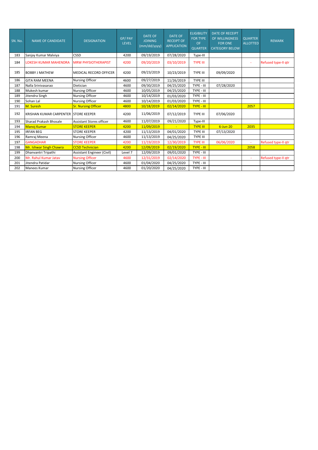| SN. No. | <b>NAME OF CANDIDATE</b>              | <b>DESIGNATION</b>              | GP/PAY<br><b>LEVEL</b> | <b>DATE OF</b><br><b>JOINING</b><br>(mm/dd/yyyy) | <b>DATE OF</b><br><b>RECEIPT OF</b><br><b>APPLICATION</b> | <b>ELIGIBILITY</b><br><b>FOR TYPE</b><br><b>OF</b><br><b>QUARTER</b> | <b>DATE OF RECEIPT</b><br>OF WILLINGNESS<br><b>FOR ONE</b><br><b>CATEGORY BELOW</b> | <b>QUARTER</b><br><b>ALLOTTED</b> | <b>REMARK</b>       |
|---------|---------------------------------------|---------------------------------|------------------------|--------------------------------------------------|-----------------------------------------------------------|----------------------------------------------------------------------|-------------------------------------------------------------------------------------|-----------------------------------|---------------------|
| 183     | Sanjay Kumar Malviya                  | <b>CSSD</b>                     | 4200                   | 09/19/2019                                       | 07/28/2020                                                | Type-III                                                             |                                                                                     |                                   |                     |
| 184     | LOKESH KUMAR MAHENDRA                 | <b>MRW PHYSIOTHERAPIST</b>      | 4200                   | 09/20/2019                                       | 03/10/2019                                                | <b>TYPE III</b>                                                      |                                                                                     | ÷                                 | Refused type-II gtr |
| 185     | <b>BOBBY J MATHEW</b>                 | <b>MEDICAL RECORD OFFICER</b>   | 4200                   | 09/23/2019                                       | 10/23/2019                                                | <b>TYPE III</b>                                                      | 09/09/2020                                                                          |                                   |                     |
| 186     | <b>GITA RAM MEENA</b>                 | <b>Nursing Officer</b>          | 4600                   | 09/27/2019                                       | 11/26/2019                                                | TYPE III                                                             |                                                                                     |                                   |                     |
| 187     | Nalla Srinivasarao                    | Dietician                       | 4600                   | 09/30/2019                                       | 04/25/2020                                                | TYPE - III                                                           | 07/28/2020                                                                          |                                   |                     |
| 188     | Mukesh kumar                          | <b>Nursing Officer</b>          | 4600                   | 10/05/2019                                       | 04/25/2020                                                | TYPE - III                                                           |                                                                                     |                                   |                     |
| 189     | Jitendra Singh                        | <b>Nursing Officer</b>          | 4600                   | 10/14/2019                                       | 01/03/2020                                                | TYPE - III                                                           |                                                                                     |                                   |                     |
| 190     | Sohan Lal                             | <b>Nursing Officer</b>          | 4600                   | 10/14/2019                                       | 01/03/2020                                                | TYPE - III                                                           |                                                                                     |                                   |                     |
| 191     | M. Suresh                             | <b>Sr. Nursing Officer</b>      | 4800                   | 10/18/2019                                       | 02/14/2020                                                | <b>TYPE - III</b>                                                    |                                                                                     | 2057                              |                     |
| 192     | KRISHAN KUMAR CARPENTER ISTORE KEEPER |                                 | 4200                   | 11/06/2019                                       | 07/12/2019                                                | <b>TYPE III</b>                                                      | 07/06/2020                                                                          |                                   |                     |
| 193     | Sharad Prakash Bhosale                | <b>Assistant Stores officer</b> | 4600                   | 11/07/2019                                       | 09/21/2020                                                | Type-III                                                             |                                                                                     |                                   |                     |
| 194     | <b>Manoj Kumar</b>                    | <b>STORE KEEPER</b>             | 4200                   | 11/09/2019                                       |                                                           | <b>TYPE III</b>                                                      | $6$ -Jun-20                                                                         | 2035                              |                     |
| 195     | <b>IRFAN BEG</b>                      | <b>STORE KEEPER</b>             | 4200                   | 11/13/2019                                       | 04/01/2020                                                | <b>TYPE III</b>                                                      | 07/13/2020                                                                          |                                   |                     |
| 196     | Ramraj Meena                          | <b>Nursing Officer</b>          | 4600                   | 11/13/2019                                       | 04/25/2020                                                | <b>TYPE III</b>                                                      |                                                                                     |                                   |                     |
| 197     | <b>GANGADHAR</b>                      | <b>STORE KEEPER</b>             | 4200                   | 11/19/2019                                       | 12/30/2019                                                | <b>TYPE III</b>                                                      | 06/06/2020                                                                          | ä,                                | Refused type-II gtr |
| 198     | Mr. Ishwar Singh Chawra               | <b>CCSD Technician</b>          | 4200                   | 12/09/2019                                       | 02/19/2020                                                | <b>TYPE - III</b>                                                    |                                                                                     | 2058                              |                     |
| 199     | Dhanvantri Tripathi                   | Assistant Engineer (Civil)      | Level 7                | 12/09/2019                                       | 09/01/2020                                                | TYPE - III                                                           |                                                                                     |                                   |                     |
| 200     | Mr. Rahul Kumar Jatav                 | <b>Nursing Officer</b>          | 4600                   | 12/31/2019                                       | 02/14/2020                                                | TYPE - III                                                           |                                                                                     | ×,                                | Refused type-II qtr |
| 201     | Jitendra Patidar                      | <b>Nursing Officer</b>          | 4600                   | 01/04/2020                                       | 04/25/2020                                                | TYPE - III                                                           |                                                                                     |                                   |                     |
| 202     | Manees Kumar                          | <b>Nursing Officer</b>          | 4600                   | 01/20/2020                                       | 04/25/2020                                                | TYPE - III                                                           |                                                                                     |                                   |                     |